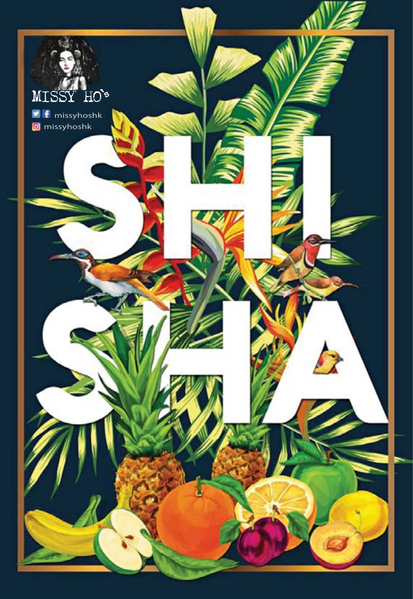